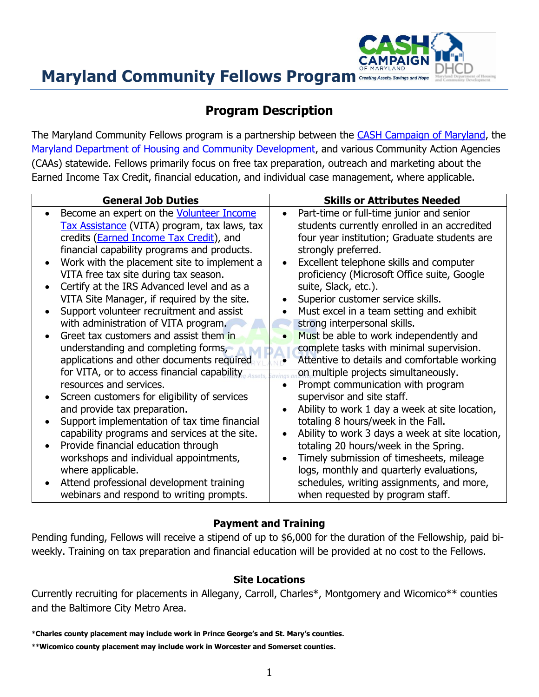# **Maryland Community Fellows Program** Creating Assets, Savings and Hope

# **Program Description**

The Maryland Community Fellows program is a partnership between the [CASH Campaign of Maryland,](http://www.cashmd.org/) the [Maryland Department of Housing and Community Development,](http://www.mdhousing.org/) and various Community Action Agencies (CAAs) statewide. Fellows primarily focus on free tax preparation, outreach and marketing about the Earned Income Tax Credit, financial education, and individual case management, where applicable.

| <b>Skills or Attributes Needed</b>                          |  |  |
|-------------------------------------------------------------|--|--|
| Part-time or full-time junior and senior<br>$\bullet$       |  |  |
| students currently enrolled in an accredited                |  |  |
| four year institution; Graduate students are                |  |  |
| strongly preferred.                                         |  |  |
| Excellent telephone skills and computer<br>$\bullet$        |  |  |
| proficiency (Microsoft Office suite, Google                 |  |  |
| suite, Slack, etc.).                                        |  |  |
| Superior customer service skills.                           |  |  |
| Must excel in a team setting and exhibit<br>$\bullet$       |  |  |
| strong interpersonal skills.                                |  |  |
| Must be able to work independently and                      |  |  |
| complete tasks with minimal supervision.                    |  |  |
| Attentive to details and comfortable working                |  |  |
| on multiple projects simultaneously.                        |  |  |
| Prompt communication with program                           |  |  |
| supervisor and site staff.                                  |  |  |
| Ability to work 1 day a week at site location,<br>$\bullet$ |  |  |
| totaling 8 hours/week in the Fall.                          |  |  |
| Ability to work 3 days a week at site location,             |  |  |
| totaling 20 hours/week in the Spring.                       |  |  |
| Timely submission of timesheets, mileage                    |  |  |
| logs, monthly and quarterly evaluations,                    |  |  |
| schedules, writing assignments, and more,                   |  |  |
| when requested by program staff.                            |  |  |
|                                                             |  |  |

### **Payment and Training**

Pending funding, Fellows will receive a stipend of up to \$6,000 for the duration of the Fellowship, paid biweekly. Training on tax preparation and financial education will be provided at no cost to the Fellows.

#### **Site Locations**

Currently recruiting for placements in Allegany, Carroll, Charles\*, Montgomery and Wicomico\*\* counties and the Baltimore City Metro Area.

\***Charles county placement may include work in Prince George's and St. Mary's counties.** 

\*\***Wicomico county placement may include work in Worcester and Somerset counties.**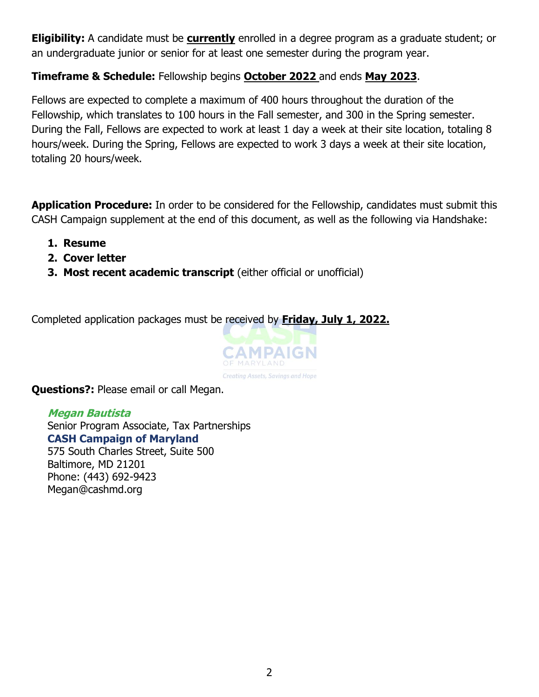**Eligibility:** A candidate must be **currently** enrolled in a degree program as a graduate student; or an undergraduate junior or senior for at least one semester during the program year.

# **Timeframe & Schedule:** Fellowship begins **October 2022** and ends **May 2023**.

Fellows are expected to complete a maximum of 400 hours throughout the duration of the Fellowship, which translates to 100 hours in the Fall semester, and 300 in the Spring semester. During the Fall, Fellows are expected to work at least 1 day a week at their site location, totaling 8 hours/week. During the Spring, Fellows are expected to work 3 days a week at their site location, totaling 20 hours/week.

**Application Procedure:** In order to be considered for the Fellowship, candidates must submit this CASH Campaign supplement at the end of this document, as well as the following via Handshake:

- **1. Resume**
- **2. Cover letter**
- **3. Most recent academic transcript** (either official or unofficial)

Completed application packages must be received by **Friday, July 1, 2022.**



**Questions?:** Please email or call Megan.

**Megan Bautista** Senior Program Associate, Tax Partnerships **CASH Campaign of Maryland** 575 South Charles Street, Suite 500 Baltimore, MD 21201 Phone: (443) 692-9423 Megan@cashmd.org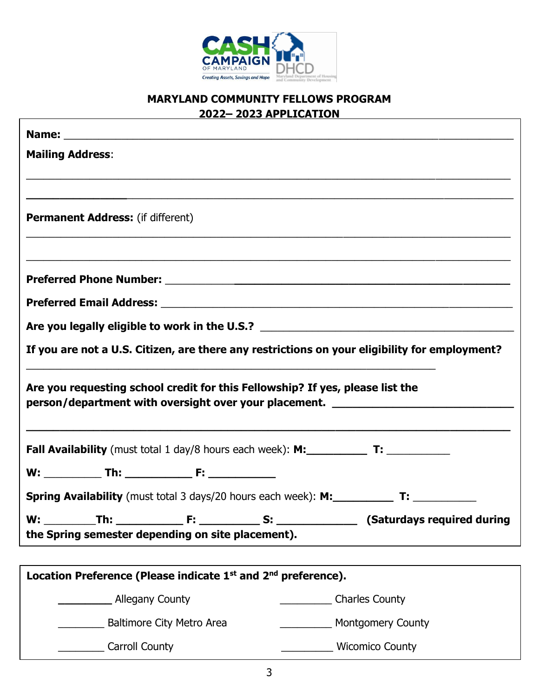

# **MARYLAND COMMUNITY FELLOWS PROGRAM 2022– 2023 APPLICATION**

| <b>Mailing Address:</b>                                                                                                                                                                                                                                  |                            |
|----------------------------------------------------------------------------------------------------------------------------------------------------------------------------------------------------------------------------------------------------------|----------------------------|
|                                                                                                                                                                                                                                                          |                            |
|                                                                                                                                                                                                                                                          |                            |
| <b>Permanent Address:</b> (if different)                                                                                                                                                                                                                 |                            |
|                                                                                                                                                                                                                                                          |                            |
|                                                                                                                                                                                                                                                          |                            |
|                                                                                                                                                                                                                                                          |                            |
| Are you legally eligible to work in the U.S.? __________________________________                                                                                                                                                                         |                            |
| If you are not a U.S. Citizen, are there any restrictions on your eligibility for employment?                                                                                                                                                            |                            |
| Are you requesting school credit for this Fellowship? If yes, please list the<br>person/department with oversight over your placement. __________________________                                                                                        |                            |
|                                                                                                                                                                                                                                                          |                            |
|                                                                                                                                                                                                                                                          |                            |
|                                                                                                                                                                                                                                                          |                            |
| F:<br><b>Th:</b> the contract of the contract of the contract of the contract of the contract of the contract of the contract of the contract of the contract of the contract of the contract of the contract of the contract of the cont<br>$S$ :<br>w: | (Saturdays required during |
| the Spring semester depending on site placement).                                                                                                                                                                                                        |                            |
| Location Preference (Please indicate 1 <sup>st</sup> and 2 <sup>nd</sup> preference).                                                                                                                                                                    |                            |
|                                                                                                                                                                                                                                                          |                            |
| <b>Allegany County</b>                                                                                                                                                                                                                                   | <b>Charles County</b>      |

Baltimore City Metro Area \_\_\_\_\_\_\_\_\_\_\_\_\_\_ Montgomery County

Larroll County **Carroll County Carroll County Carroll County**